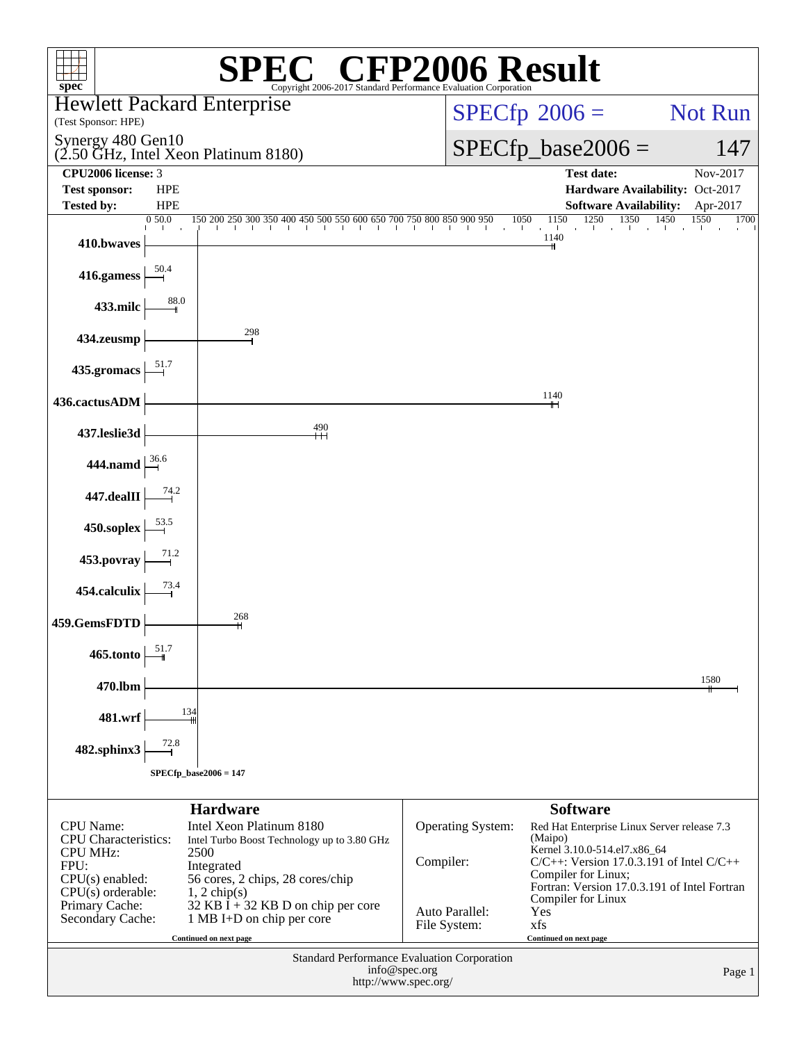| $spec^{\circ}$                                                                                                                                               |                          | $\mathbb{C}^{\scriptscriptstyle \circledast}$ CFP2006 Result<br>Copyright 2006-2017 Standard Performance Evaluation Corporation                                                                                          |                                             |                              |                                                                                                                                                                                                                                                    |              |
|--------------------------------------------------------------------------------------------------------------------------------------------------------------|--------------------------|--------------------------------------------------------------------------------------------------------------------------------------------------------------------------------------------------------------------------|---------------------------------------------|------------------------------|----------------------------------------------------------------------------------------------------------------------------------------------------------------------------------------------------------------------------------------------------|--------------|
|                                                                                                                                                              |                          | <b>Hewlett Packard Enterprise</b>                                                                                                                                                                                        |                                             |                              |                                                                                                                                                                                                                                                    |              |
| (Test Sponsor: HPE)                                                                                                                                          |                          |                                                                                                                                                                                                                          |                                             | $SPECfp^{\circledast}2006 =$ |                                                                                                                                                                                                                                                    | Not Run      |
| Synergy 480 Gen10                                                                                                                                            |                          | (2.50 GHz, Intel Xeon Platinum 8180)                                                                                                                                                                                     |                                             |                              | $SPECfp\_base2006 =$                                                                                                                                                                                                                               | 147          |
| CPU2006 license: 3                                                                                                                                           |                          |                                                                                                                                                                                                                          |                                             |                              | <b>Test date:</b>                                                                                                                                                                                                                                  | Nov-2017     |
| <b>Test sponsor:</b><br><b>Tested by:</b>                                                                                                                    | <b>HPE</b><br><b>HPE</b> |                                                                                                                                                                                                                          |                                             |                              | Hardware Availability: Oct-2017<br><b>Software Availability:</b>                                                                                                                                                                                   | Apr-2017     |
|                                                                                                                                                              | 0 50.0                   | $150200250300350400450500550600650700750800850900950$                                                                                                                                                                    |                                             | 1050                         | $\frac{1250}{1}$ $\frac{1350}{1}$ $\frac{1450}{1}$<br>1150<br>$\sim$ 1.                                                                                                                                                                            | 1550<br>1700 |
| 410.bwaves                                                                                                                                                   |                          |                                                                                                                                                                                                                          |                                             |                              | 1140                                                                                                                                                                                                                                               |              |
| 416.gamess                                                                                                                                                   |                          |                                                                                                                                                                                                                          |                                             |                              |                                                                                                                                                                                                                                                    |              |
| 433.milc                                                                                                                                                     | 88.0                     |                                                                                                                                                                                                                          |                                             |                              |                                                                                                                                                                                                                                                    |              |
| 434.zeusmp                                                                                                                                                   |                          | 298                                                                                                                                                                                                                      |                                             |                              |                                                                                                                                                                                                                                                    |              |
| 435.gromacs                                                                                                                                                  |                          |                                                                                                                                                                                                                          |                                             |                              |                                                                                                                                                                                                                                                    |              |
| 436.cactusADM                                                                                                                                                |                          |                                                                                                                                                                                                                          |                                             |                              | 1140<br>╫┥                                                                                                                                                                                                                                         |              |
| 437.leslie3d                                                                                                                                                 |                          | 490<br>Н                                                                                                                                                                                                                 |                                             |                              |                                                                                                                                                                                                                                                    |              |
| 444.namd $\frac{36.6}{-1}$                                                                                                                                   |                          |                                                                                                                                                                                                                          |                                             |                              |                                                                                                                                                                                                                                                    |              |
| 447.dealII                                                                                                                                                   |                          |                                                                                                                                                                                                                          |                                             |                              |                                                                                                                                                                                                                                                    |              |
| 450.soplex                                                                                                                                                   |                          |                                                                                                                                                                                                                          |                                             |                              |                                                                                                                                                                                                                                                    |              |
| 453.povray                                                                                                                                                   |                          |                                                                                                                                                                                                                          |                                             |                              |                                                                                                                                                                                                                                                    |              |
| 454.calculix                                                                                                                                                 |                          | 268                                                                                                                                                                                                                      |                                             |                              |                                                                                                                                                                                                                                                    |              |
| 459.GemsFDTD                                                                                                                                                 | 51.7                     | $\mathsf{H}$                                                                                                                                                                                                             |                                             |                              |                                                                                                                                                                                                                                                    |              |
| 465.tonto                                                                                                                                                    |                          |                                                                                                                                                                                                                          |                                             |                              |                                                                                                                                                                                                                                                    | 1580         |
| 470.lbm                                                                                                                                                      | 134                      |                                                                                                                                                                                                                          |                                             |                              |                                                                                                                                                                                                                                                    |              |
| 481.wrf                                                                                                                                                      |                          |                                                                                                                                                                                                                          |                                             |                              |                                                                                                                                                                                                                                                    |              |
| 482.sphinx3                                                                                                                                                  | $SPECfp\_base2006 = 147$ |                                                                                                                                                                                                                          |                                             |                              |                                                                                                                                                                                                                                                    |              |
|                                                                                                                                                              |                          | <b>Hardware</b>                                                                                                                                                                                                          |                                             |                              | <b>Software</b>                                                                                                                                                                                                                                    |              |
| <b>CPU</b> Name:<br><b>CPU</b> Characteristics:<br><b>CPU MHz:</b><br>FPU:<br>$CPU(s)$ enabled:<br>$CPU(s)$ orderable:<br>Primary Cache:<br>Secondary Cache: |                          | Intel Xeon Platinum 8180<br>Intel Turbo Boost Technology up to 3.80 GHz<br>2500<br>Integrated<br>56 cores, 2 chips, 28 cores/chip<br>$1, 2$ chip(s)<br>$32$ KB I + 32 KB D on chip per core<br>1 MB I+D on chip per core | Compiler:<br>Auto Parallel:<br>File System: | Operating System:            | Red Hat Enterprise Linux Server release 7.3<br>(Maipo)<br>Kernel 3.10.0-514.el7.x86_64<br>$C/C++$ : Version 17.0.3.191 of Intel $C/C++$<br>Compiler for Linux;<br>Fortran: Version 17.0.3.191 of Intel Fortran<br>Compiler for Linux<br>Yes<br>xfs |              |
|                                                                                                                                                              |                          | Continued on next page<br><b>Standard Performance Evaluation Corporation</b>                                                                                                                                             |                                             |                              | Continued on next page                                                                                                                                                                                                                             |              |
|                                                                                                                                                              |                          |                                                                                                                                                                                                                          | info@spec.org<br>http://www.spec.org/       |                              |                                                                                                                                                                                                                                                    | Page 1       |
|                                                                                                                                                              |                          |                                                                                                                                                                                                                          |                                             |                              |                                                                                                                                                                                                                                                    |              |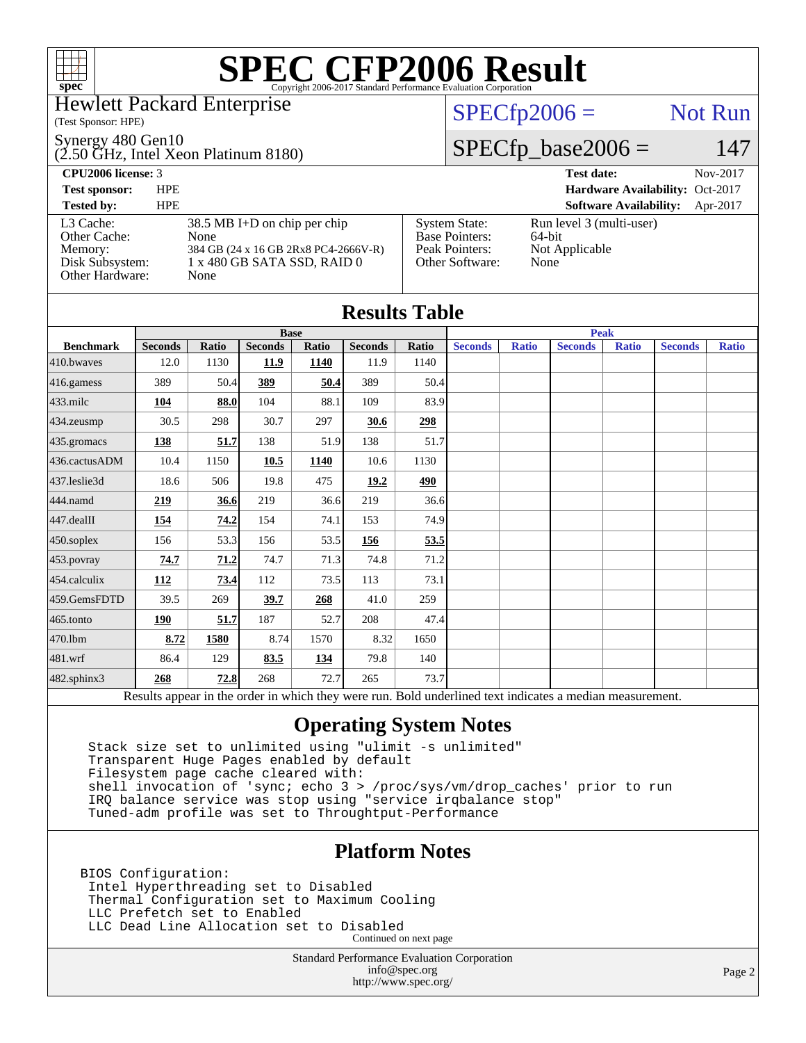#### Hewlett Packard Enterprise

(Test Sponsor: HPE)

Synergy 480 Gen10

(2.50 GHz, Intel Xeon Platinum 8180)

 $SPECfp2006 =$  Not Run

### $SPECfp\_base2006 = 147$

| <b>CPU2006</b> license: 3                                                  |            |                                                                                                                       |                                                                                    | <b>Test date:</b>                                            | Nov-2017 |
|----------------------------------------------------------------------------|------------|-----------------------------------------------------------------------------------------------------------------------|------------------------------------------------------------------------------------|--------------------------------------------------------------|----------|
| <b>Test sponsor:</b>                                                       | <b>HPE</b> |                                                                                                                       |                                                                                    | Hardware Availability: Oct-2017                              |          |
| <b>Tested by:</b>                                                          | <b>HPE</b> |                                                                                                                       |                                                                                    | <b>Software Availability:</b>                                | Apr-2017 |
| L3 Cache:<br>Other Cache:<br>Memory:<br>Disk Subsystem:<br>Other Hardware: |            | $38.5$ MB I+D on chip per chip<br>None<br>384 GB (24 x 16 GB 2Rx8 PC4-2666V-R)<br>1 x 480 GB SATA SSD, RAID 0<br>None | <b>System State:</b><br><b>Base Pointers:</b><br>Peak Pointers:<br>Other Software: | Run level 3 (multi-user)<br>64-bit<br>Not Applicable<br>None |          |

| <b>Results Table</b> |                |              |                |             |                |       |                |              |                                                                                                          |              |                |              |
|----------------------|----------------|--------------|----------------|-------------|----------------|-------|----------------|--------------|----------------------------------------------------------------------------------------------------------|--------------|----------------|--------------|
|                      |                |              |                | <b>Base</b> |                |       | <b>Peak</b>    |              |                                                                                                          |              |                |              |
| <b>Benchmark</b>     | <b>Seconds</b> | <b>Ratio</b> | <b>Seconds</b> | Ratio       | <b>Seconds</b> | Ratio | <b>Seconds</b> | <b>Ratio</b> | <b>Seconds</b>                                                                                           | <b>Ratio</b> | <b>Seconds</b> | <b>Ratio</b> |
| $410$ .bwayes        | 12.0           | 1130         | 11.9           | 1140        | 11.9           | 1140  |                |              |                                                                                                          |              |                |              |
| 416.gamess           | 389            | 50.4         | 389            | 50.4        | 389            | 50.4  |                |              |                                                                                                          |              |                |              |
| $433$ .milc          | 104            | 88.0         | 104            | 88.1        | 109            | 83.9  |                |              |                                                                                                          |              |                |              |
| $434$ . zeusmp       | 30.5           | 298          | 30.7           | 297         | 30.6           | 298   |                |              |                                                                                                          |              |                |              |
| 435.gromacs          | 138            | 51.7         | 138            | 51.9        | 138            | 51.7  |                |              |                                                                                                          |              |                |              |
| 436.cactusADM        | 10.4           | 1150         | 10.5           | 1140        | 10.6           | 1130  |                |              |                                                                                                          |              |                |              |
| 437.leslie3d         | 18.6           | 506          | 19.8           | 475         | 19.2           | 490   |                |              |                                                                                                          |              |                |              |
| 444.namd             | 219            | 36.6         | 219            | 36.6        | 219            | 36.6  |                |              |                                                                                                          |              |                |              |
| $447$ .dealII        | 154            | 74.2         | 154            | 74.1        | 153            | 74.9  |                |              |                                                                                                          |              |                |              |
| $450$ .soplex        | 156            | 53.3         | 156            | 53.5        | 156            | 53.5  |                |              |                                                                                                          |              |                |              |
| 453.povray           | 74.7           | 71.2         | 74.7           | 71.3        | 74.8           | 71.2  |                |              |                                                                                                          |              |                |              |
| $454$ .calculix      | 112            | 73.4         | 112            | 73.5        | 113            | 73.1  |                |              |                                                                                                          |              |                |              |
| 459.GemsFDTD         | 39.5           | 269          | 39.7           | 268         | 41.0           | 259   |                |              |                                                                                                          |              |                |              |
| 465.tonto            | 190            | 51.7         | 187            | 52.7        | 208            | 47.4  |                |              |                                                                                                          |              |                |              |
| 470.1bm              | 8.72           | 1580         | 8.74           | 1570        | 8.32           | 1650  |                |              |                                                                                                          |              |                |              |
| $ 481$ .wrf          | 86.4           | 129          | 83.5           | 134         | 79.8           | 140   |                |              |                                                                                                          |              |                |              |
| 482.sphinx3          | 268            | 72.8         | 268            | 72.7        | 265            | 73.7  |                |              |                                                                                                          |              |                |              |
|                      |                |              |                |             |                |       |                |              | Results appear in the order in which they were run. Bold underlined text indicates a median measurement. |              |                |              |

### **[Operating System Notes](http://www.spec.org/auto/cpu2006/Docs/result-fields.html#OperatingSystemNotes)**

 Stack size set to unlimited using "ulimit -s unlimited" Transparent Huge Pages enabled by default Filesystem page cache cleared with: shell invocation of 'sync; echo 3 > /proc/sys/vm/drop\_caches' prior to run IRQ balance service was stop using "service irqbalance stop" Tuned-adm profile was set to Throughtput-Performance

### **[Platform Notes](http://www.spec.org/auto/cpu2006/Docs/result-fields.html#PlatformNotes)**

BIOS Configuration: Intel Hyperthreading set to Disabled Thermal Configuration set to Maximum Cooling LLC Prefetch set to Enabled LLC Dead Line Allocation set to Disabled Continued on next page

> Standard Performance Evaluation Corporation [info@spec.org](mailto:info@spec.org) <http://www.spec.org/>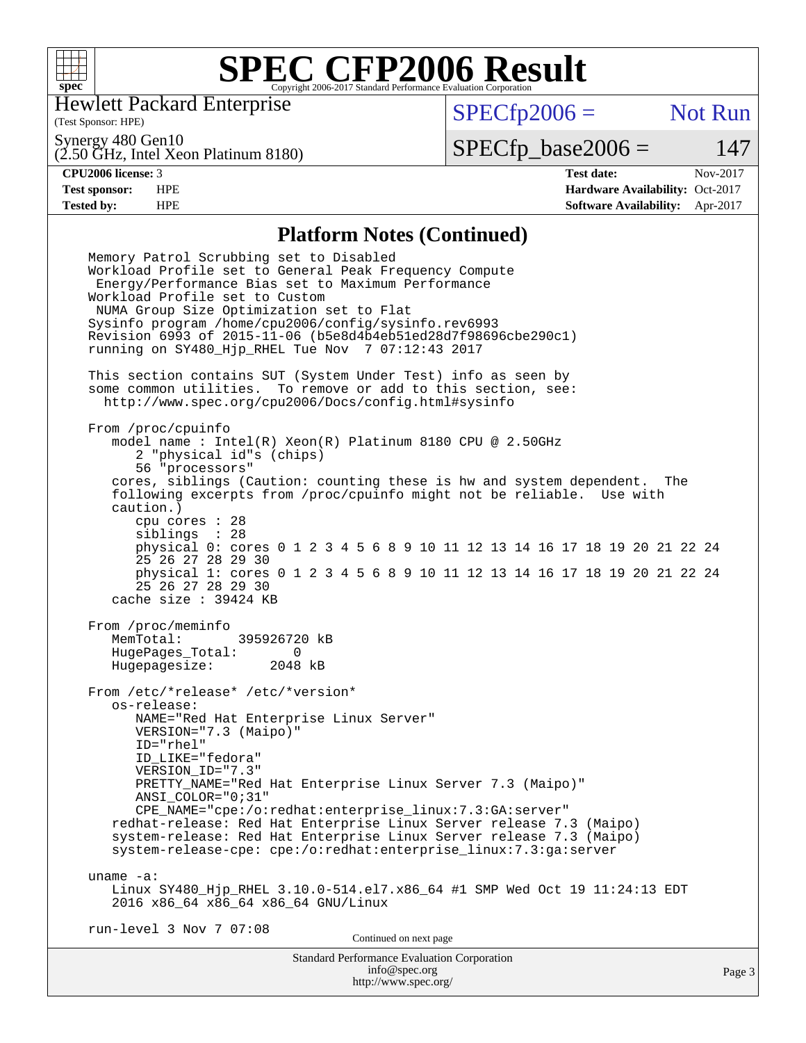

Hewlett Packard Enterprise

(Test Sponsor: HPE)

 $SPECfp2006 =$  Not Run

Synergy 480 Gen10

(2.50 GHz, Intel Xeon Platinum 8180)

**[Tested by:](http://www.spec.org/auto/cpu2006/Docs/result-fields.html#Testedby)** HPE **[Software Availability:](http://www.spec.org/auto/cpu2006/Docs/result-fields.html#SoftwareAvailability)** Apr-2017

 $SPECTp\_base2006 = 147$ **[CPU2006 license:](http://www.spec.org/auto/cpu2006/Docs/result-fields.html#CPU2006license)** 3 **[Test date:](http://www.spec.org/auto/cpu2006/Docs/result-fields.html#Testdate)** Nov-2017 **[Test sponsor:](http://www.spec.org/auto/cpu2006/Docs/result-fields.html#Testsponsor)** HPE **[Hardware Availability:](http://www.spec.org/auto/cpu2006/Docs/result-fields.html#HardwareAvailability)** Oct-2017

#### **[Platform Notes \(Continued\)](http://www.spec.org/auto/cpu2006/Docs/result-fields.html#PlatformNotes)**

Standard Performance Evaluation Corporation [info@spec.org](mailto:info@spec.org) Page 3 Memory Patrol Scrubbing set to Disabled Workload Profile set to General Peak Frequency Compute Energy/Performance Bias set to Maximum Performance Workload Profile set to Custom NUMA Group Size Optimization set to Flat Sysinfo program /home/cpu2006/config/sysinfo.rev6993 Revision 6993 of 2015-11-06 (b5e8d4b4eb51ed28d7f98696cbe290c1) running on SY480\_Hjp\_RHEL Tue Nov 7 07:12:43 2017 This section contains SUT (System Under Test) info as seen by some common utilities. To remove or add to this section, see: <http://www.spec.org/cpu2006/Docs/config.html#sysinfo> From /proc/cpuinfo model name : Intel(R) Xeon(R) Platinum 8180 CPU @ 2.50GHz 2 "physical id"s (chips) 56 "processors" cores, siblings (Caution: counting these is hw and system dependent. The following excerpts from /proc/cpuinfo might not be reliable. Use with caution.) cpu cores : 28 siblings : 28 physical 0: cores 0 1 2 3 4 5 6 8 9 10 11 12 13 14 16 17 18 19 20 21 22 24 25 26 27 28 29 30 physical 1: cores 0 1 2 3 4 5 6 8 9 10 11 12 13 14 16 17 18 19 20 21 22 24 25 26 27 28 29 30 cache size : 39424 KB From /proc/meminfo MemTotal: 395926720 kB HugePages\_Total: 0<br>Hugepagesize: 2048 kB Hugepagesize: From /etc/\*release\* /etc/\*version\* os-release: NAME="Red Hat Enterprise Linux Server" VERSION="7.3 (Maipo)" ID="rhel" ID\_LIKE="fedora" VERSION\_ID="7.3" PRETTY\_NAME="Red Hat Enterprise Linux Server 7.3 (Maipo)" ANSI\_COLOR="0;31" CPE\_NAME="cpe:/o:redhat:enterprise\_linux:7.3:GA:server" redhat-release: Red Hat Enterprise Linux Server release 7.3 (Maipo) system-release: Red Hat Enterprise Linux Server release 7.3 (Maipo) system-release-cpe: cpe:/o:redhat:enterprise\_linux:7.3:ga:server uname -a: Linux SY480\_Hjp\_RHEL 3.10.0-514.el7.x86\_64 #1 SMP Wed Oct 19 11:24:13 EDT 2016 x86\_64 x86\_64 x86\_64 GNU/Linux run-level 3 Nov 7 07:08 Continued on next page

<http://www.spec.org/>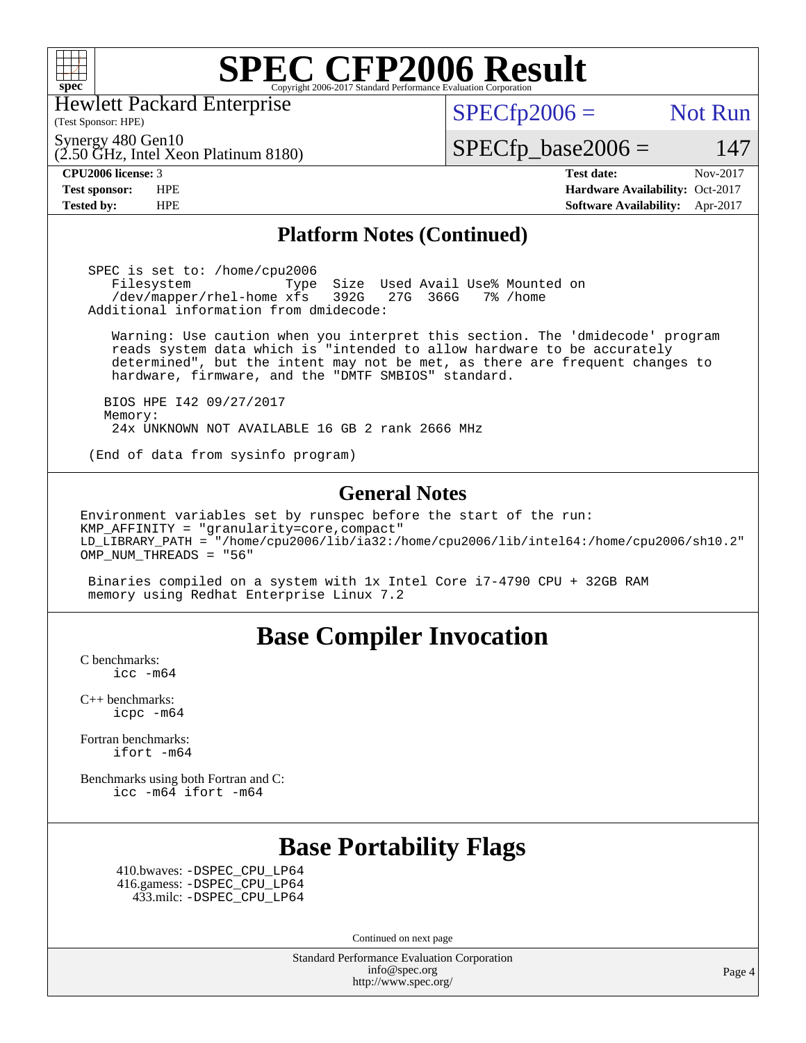

Hewlett Packard Enterprise

(2.50 GHz, Intel Xeon Platinum 8180)

 $SPECTp2006 =$  Not Run

Synergy 480 Gen10

 $SPECfp\_base2006 = 147$ 

(Test Sponsor: HPE)

**[CPU2006 license:](http://www.spec.org/auto/cpu2006/Docs/result-fields.html#CPU2006license)** 3 **[Test date:](http://www.spec.org/auto/cpu2006/Docs/result-fields.html#Testdate)** Nov-2017 **[Test sponsor:](http://www.spec.org/auto/cpu2006/Docs/result-fields.html#Testsponsor)** HPE **[Hardware Availability:](http://www.spec.org/auto/cpu2006/Docs/result-fields.html#HardwareAvailability)** Oct-2017 **[Tested by:](http://www.spec.org/auto/cpu2006/Docs/result-fields.html#Testedby)** HPE **[Software Availability:](http://www.spec.org/auto/cpu2006/Docs/result-fields.html#SoftwareAvailability)** Apr-2017

#### **[Platform Notes \(Continued\)](http://www.spec.org/auto/cpu2006/Docs/result-fields.html#PlatformNotes)**

 SPEC is set to: /home/cpu2006 Filesystem Type Size Used Avail Use% Mounted on<br>/dev/mapper/rhel-home xfs 392G 27G 366G 7% /home /dev/mapper/rhel-home xfs 392G Additional information from dmidecode:

 Warning: Use caution when you interpret this section. The 'dmidecode' program reads system data which is "intended to allow hardware to be accurately determined", but the intent may not be met, as there are frequent changes to hardware, firmware, and the "DMTF SMBIOS" standard.

 BIOS HPE I42 09/27/2017 Memory: 24x UNKNOWN NOT AVAILABLE 16 GB 2 rank 2666 MHz

(End of data from sysinfo program)

#### **[General Notes](http://www.spec.org/auto/cpu2006/Docs/result-fields.html#GeneralNotes)**

Environment variables set by runspec before the start of the run: KMP\_AFFINITY = "granularity=core,compact" LD\_LIBRARY\_PATH = "/home/cpu2006/lib/ia32:/home/cpu2006/lib/intel64:/home/cpu2006/sh10.2" OMP\_NUM\_THREADS = "56"

 Binaries compiled on a system with 1x Intel Core i7-4790 CPU + 32GB RAM memory using Redhat Enterprise Linux 7.2

### **[Base Compiler Invocation](http://www.spec.org/auto/cpu2006/Docs/result-fields.html#BaseCompilerInvocation)**

[C benchmarks](http://www.spec.org/auto/cpu2006/Docs/result-fields.html#Cbenchmarks): [icc -m64](http://www.spec.org/cpu2006/results/res2017q4/cpu2006-20171128-50827.flags.html#user_CCbase_intel_icc_64bit_bda6cc9af1fdbb0edc3795bac97ada53)

[C++ benchmarks:](http://www.spec.org/auto/cpu2006/Docs/result-fields.html#CXXbenchmarks) [icpc -m64](http://www.spec.org/cpu2006/results/res2017q4/cpu2006-20171128-50827.flags.html#user_CXXbase_intel_icpc_64bit_fc66a5337ce925472a5c54ad6a0de310)

[Fortran benchmarks](http://www.spec.org/auto/cpu2006/Docs/result-fields.html#Fortranbenchmarks): [ifort -m64](http://www.spec.org/cpu2006/results/res2017q4/cpu2006-20171128-50827.flags.html#user_FCbase_intel_ifort_64bit_ee9d0fb25645d0210d97eb0527dcc06e)

[Benchmarks using both Fortran and C](http://www.spec.org/auto/cpu2006/Docs/result-fields.html#BenchmarksusingbothFortranandC): [icc -m64](http://www.spec.org/cpu2006/results/res2017q4/cpu2006-20171128-50827.flags.html#user_CC_FCbase_intel_icc_64bit_bda6cc9af1fdbb0edc3795bac97ada53) [ifort -m64](http://www.spec.org/cpu2006/results/res2017q4/cpu2006-20171128-50827.flags.html#user_CC_FCbase_intel_ifort_64bit_ee9d0fb25645d0210d97eb0527dcc06e)

### **[Base Portability Flags](http://www.spec.org/auto/cpu2006/Docs/result-fields.html#BasePortabilityFlags)**

 410.bwaves: [-DSPEC\\_CPU\\_LP64](http://www.spec.org/cpu2006/results/res2017q4/cpu2006-20171128-50827.flags.html#suite_basePORTABILITY410_bwaves_DSPEC_CPU_LP64) 416.gamess: [-DSPEC\\_CPU\\_LP64](http://www.spec.org/cpu2006/results/res2017q4/cpu2006-20171128-50827.flags.html#suite_basePORTABILITY416_gamess_DSPEC_CPU_LP64) 433.milc: [-DSPEC\\_CPU\\_LP64](http://www.spec.org/cpu2006/results/res2017q4/cpu2006-20171128-50827.flags.html#suite_basePORTABILITY433_milc_DSPEC_CPU_LP64)

Continued on next page

Standard Performance Evaluation Corporation [info@spec.org](mailto:info@spec.org) <http://www.spec.org/>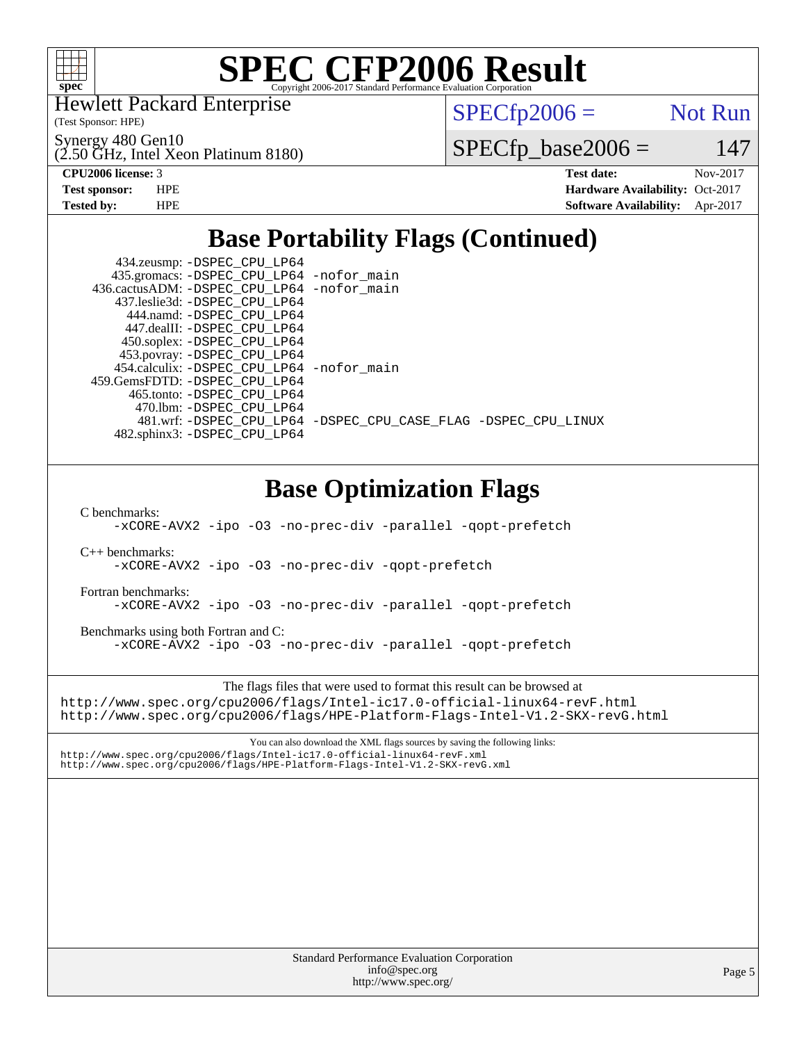

Hewlett Packard Enterprise

(Test Sponsor: HPE)

Synergy 480 Gen10

(2.50 GHz, Intel Xeon Platinum 8180)

 $SPECTp2006 =$  Not Run

 $SPECfp\_base2006 = 147$ 

**[CPU2006 license:](http://www.spec.org/auto/cpu2006/Docs/result-fields.html#CPU2006license)** 3 **[Test date:](http://www.spec.org/auto/cpu2006/Docs/result-fields.html#Testdate)** Nov-2017 **[Test sponsor:](http://www.spec.org/auto/cpu2006/Docs/result-fields.html#Testsponsor)** HPE **[Hardware Availability:](http://www.spec.org/auto/cpu2006/Docs/result-fields.html#HardwareAvailability)** Oct-2017 **[Tested by:](http://www.spec.org/auto/cpu2006/Docs/result-fields.html#Testedby)** HPE **[Software Availability:](http://www.spec.org/auto/cpu2006/Docs/result-fields.html#SoftwareAvailability)** Apr-2017

## **[Base Portability Flags \(Continued\)](http://www.spec.org/auto/cpu2006/Docs/result-fields.html#BasePortabilityFlags)**

|  | 434.zeusmp: -DSPEC_CPU_LP64                |                                                                |
|--|--------------------------------------------|----------------------------------------------------------------|
|  | 435.gromacs: -DSPEC_CPU_LP64 -nofor_main   |                                                                |
|  | 436.cactusADM: -DSPEC_CPU_LP64 -nofor_main |                                                                |
|  | 437.leslie3d: -DSPEC CPU LP64              |                                                                |
|  | 444.namd: - DSPEC CPU LP64                 |                                                                |
|  | 447.dealII: -DSPEC CPU LP64                |                                                                |
|  | 450.soplex: -DSPEC_CPU_LP64                |                                                                |
|  | 453.povray: -DSPEC_CPU_LP64                |                                                                |
|  | 454.calculix: -DSPEC_CPU_LP64 -nofor_main  |                                                                |
|  | 459. GemsFDTD: - DSPEC CPU LP64            |                                                                |
|  | 465.tonto: -DSPEC CPU LP64                 |                                                                |
|  | 470.1bm: - DSPEC CPU LP64                  |                                                                |
|  |                                            | 481.wrf: -DSPEC_CPU_LP64 -DSPEC_CPU_CASE_FLAG -DSPEC_CPU_LINUX |
|  | 482.sphinx3: -DSPEC_CPU_LP64               |                                                                |
|  |                                            |                                                                |
|  |                                            |                                                                |
|  |                                            |                                                                |

### **[Base Optimization Flags](http://www.spec.org/auto/cpu2006/Docs/result-fields.html#BaseOptimizationFlags)**

[C benchmarks](http://www.spec.org/auto/cpu2006/Docs/result-fields.html#Cbenchmarks):

[-xCORE-AVX2](http://www.spec.org/cpu2006/results/res2017q4/cpu2006-20171128-50827.flags.html#user_CCbase_f-xCORE-AVX2) [-ipo](http://www.spec.org/cpu2006/results/res2017q4/cpu2006-20171128-50827.flags.html#user_CCbase_f-ipo) [-O3](http://www.spec.org/cpu2006/results/res2017q4/cpu2006-20171128-50827.flags.html#user_CCbase_f-O3) [-no-prec-div](http://www.spec.org/cpu2006/results/res2017q4/cpu2006-20171128-50827.flags.html#user_CCbase_f-no-prec-div) [-parallel](http://www.spec.org/cpu2006/results/res2017q4/cpu2006-20171128-50827.flags.html#user_CCbase_f-parallel) [-qopt-prefetch](http://www.spec.org/cpu2006/results/res2017q4/cpu2006-20171128-50827.flags.html#user_CCbase_f-qopt-prefetch)

[C++ benchmarks:](http://www.spec.org/auto/cpu2006/Docs/result-fields.html#CXXbenchmarks)

[-xCORE-AVX2](http://www.spec.org/cpu2006/results/res2017q4/cpu2006-20171128-50827.flags.html#user_CXXbase_f-xCORE-AVX2) [-ipo](http://www.spec.org/cpu2006/results/res2017q4/cpu2006-20171128-50827.flags.html#user_CXXbase_f-ipo) [-O3](http://www.spec.org/cpu2006/results/res2017q4/cpu2006-20171128-50827.flags.html#user_CXXbase_f-O3) [-no-prec-div](http://www.spec.org/cpu2006/results/res2017q4/cpu2006-20171128-50827.flags.html#user_CXXbase_f-no-prec-div) [-qopt-prefetch](http://www.spec.org/cpu2006/results/res2017q4/cpu2006-20171128-50827.flags.html#user_CXXbase_f-qopt-prefetch)

[Fortran benchmarks](http://www.spec.org/auto/cpu2006/Docs/result-fields.html#Fortranbenchmarks):

[-xCORE-AVX2](http://www.spec.org/cpu2006/results/res2017q4/cpu2006-20171128-50827.flags.html#user_FCbase_f-xCORE-AVX2) [-ipo](http://www.spec.org/cpu2006/results/res2017q4/cpu2006-20171128-50827.flags.html#user_FCbase_f-ipo) [-O3](http://www.spec.org/cpu2006/results/res2017q4/cpu2006-20171128-50827.flags.html#user_FCbase_f-O3) [-no-prec-div](http://www.spec.org/cpu2006/results/res2017q4/cpu2006-20171128-50827.flags.html#user_FCbase_f-no-prec-div) [-parallel](http://www.spec.org/cpu2006/results/res2017q4/cpu2006-20171128-50827.flags.html#user_FCbase_f-parallel) [-qopt-prefetch](http://www.spec.org/cpu2006/results/res2017q4/cpu2006-20171128-50827.flags.html#user_FCbase_f-qopt-prefetch)

[Benchmarks using both Fortran and C](http://www.spec.org/auto/cpu2006/Docs/result-fields.html#BenchmarksusingbothFortranandC): [-xCORE-AVX2](http://www.spec.org/cpu2006/results/res2017q4/cpu2006-20171128-50827.flags.html#user_CC_FCbase_f-xCORE-AVX2) [-ipo](http://www.spec.org/cpu2006/results/res2017q4/cpu2006-20171128-50827.flags.html#user_CC_FCbase_f-ipo) [-O3](http://www.spec.org/cpu2006/results/res2017q4/cpu2006-20171128-50827.flags.html#user_CC_FCbase_f-O3) [-no-prec-div](http://www.spec.org/cpu2006/results/res2017q4/cpu2006-20171128-50827.flags.html#user_CC_FCbase_f-no-prec-div) [-parallel](http://www.spec.org/cpu2006/results/res2017q4/cpu2006-20171128-50827.flags.html#user_CC_FCbase_f-parallel) [-qopt-prefetch](http://www.spec.org/cpu2006/results/res2017q4/cpu2006-20171128-50827.flags.html#user_CC_FCbase_f-qopt-prefetch)

The flags files that were used to format this result can be browsed at <http://www.spec.org/cpu2006/flags/Intel-ic17.0-official-linux64-revF.html> <http://www.spec.org/cpu2006/flags/HPE-Platform-Flags-Intel-V1.2-SKX-revG.html>

You can also download the XML flags sources by saving the following links: <http://www.spec.org/cpu2006/flags/Intel-ic17.0-official-linux64-revF.xml> <http://www.spec.org/cpu2006/flags/HPE-Platform-Flags-Intel-V1.2-SKX-revG.xml>